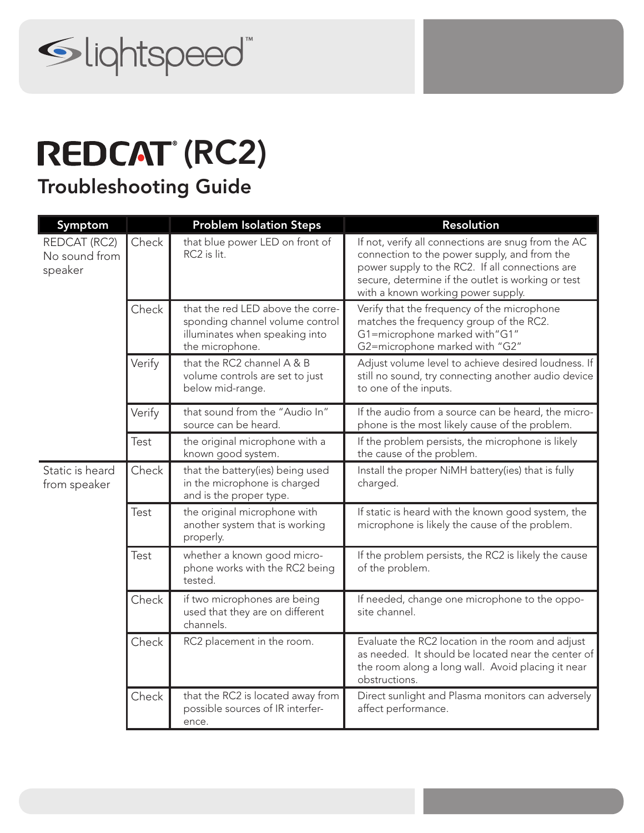

## **REDCAT (RC2)**

Troubleshooting Guide

| Symptom                                  |        | <b>Problem Isolation Steps</b>                                                                                            | Resolution                                                                                                                                                                                                                                         |
|------------------------------------------|--------|---------------------------------------------------------------------------------------------------------------------------|----------------------------------------------------------------------------------------------------------------------------------------------------------------------------------------------------------------------------------------------------|
| REDCAT (RC2)<br>No sound from<br>speaker | Check  | that blue power LED on front of<br>RC2 is lit.                                                                            | If not, verify all connections are snug from the AC<br>connection to the power supply, and from the<br>power supply to the RC2. If all connections are<br>secure, determine if the outlet is working or test<br>with a known working power supply. |
|                                          | Check  | that the red LED above the corre-<br>sponding channel volume control<br>illuminates when speaking into<br>the microphone. | Verify that the frequency of the microphone<br>matches the frequency group of the RC2.<br>G1=microphone marked with"G1"<br>G2=microphone marked with "G2"                                                                                          |
|                                          | Verify | that the RC2 channel A & B<br>volume controls are set to just<br>below mid-range.                                         | Adjust volume level to achieve desired loudness. If<br>still no sound, try connecting another audio device<br>to one of the inputs.                                                                                                                |
|                                          | Verify | that sound from the "Audio In"<br>source can be heard.                                                                    | If the audio from a source can be heard, the micro-<br>phone is the most likely cause of the problem.                                                                                                                                              |
|                                          | Test   | the original microphone with a<br>known good system.                                                                      | If the problem persists, the microphone is likely<br>the cause of the problem.                                                                                                                                                                     |
| Static is heard<br>from speaker          | Check  | that the battery(ies) being used<br>in the microphone is charged<br>and is the proper type.                               | Install the proper NiMH battery(ies) that is fully<br>charged.                                                                                                                                                                                     |
|                                          | Test   | the original microphone with<br>another system that is working<br>properly.                                               | If static is heard with the known good system, the<br>microphone is likely the cause of the problem.                                                                                                                                               |
|                                          | Test   | whether a known good micro-<br>phone works with the RC2 being<br>tested.                                                  | If the problem persists, the RC2 is likely the cause<br>of the problem.                                                                                                                                                                            |
|                                          | Check  | if two microphones are being<br>used that they are on different<br>channels.                                              | If needed, change one microphone to the oppo-<br>site channel.                                                                                                                                                                                     |
|                                          | Check  | RC2 placement in the room.                                                                                                | Evaluate the RC2 location in the room and adjust<br>as needed. It should be located near the center of<br>the room along a long wall. Avoid placing it near<br>obstructions.                                                                       |
|                                          | Check  | that the RC2 is located away from<br>possible sources of IR interfer-<br>ence.                                            | Direct sunlight and Plasma monitors can adversely<br>affect performance.                                                                                                                                                                           |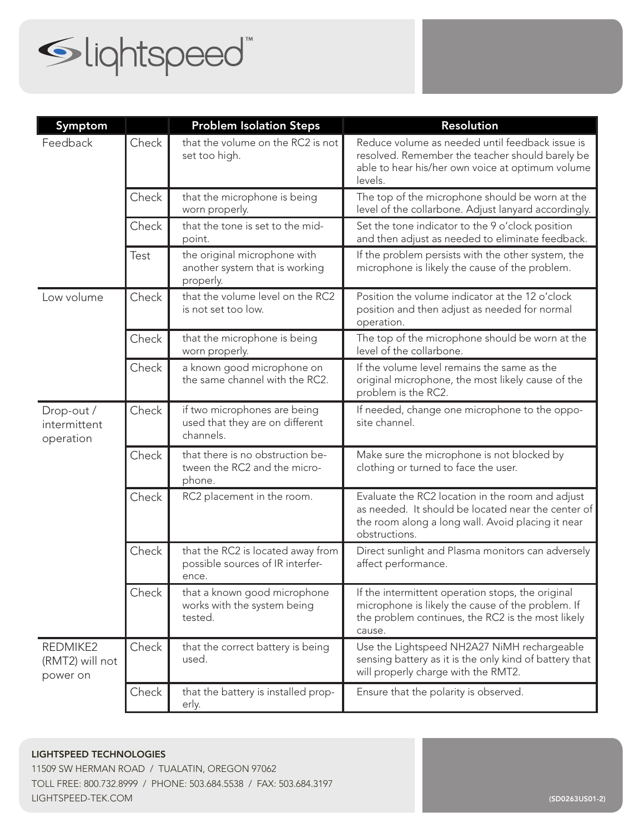

| Symptom                                 |             | <b>Problem Isolation Steps</b>                                                 | <b>Resolution</b>                                                                                                                                                            |
|-----------------------------------------|-------------|--------------------------------------------------------------------------------|------------------------------------------------------------------------------------------------------------------------------------------------------------------------------|
| Feedback                                | Check       | that the volume on the RC2 is not<br>set too high.                             | Reduce volume as needed until feedback issue is<br>resolved. Remember the teacher should barely be<br>able to hear his/her own voice at optimum volume<br>levels.            |
|                                         | Check       | that the microphone is being<br>worn properly.                                 | The top of the microphone should be worn at the<br>level of the collarbone. Adjust lanyard accordingly.                                                                      |
|                                         | Check       | that the tone is set to the mid-<br>point.                                     | Set the tone indicator to the 9 o'clock position<br>and then adjust as needed to eliminate feedback.                                                                         |
|                                         | <b>Test</b> | the original microphone with<br>another system that is working<br>properly.    | If the problem persists with the other system, the<br>microphone is likely the cause of the problem.                                                                         |
| Low volume                              | Check       | that the volume level on the RC2<br>is not set too low.                        | Position the volume indicator at the 12 o'clock<br>position and then adjust as needed for normal<br>operation.                                                               |
|                                         | Check       | that the microphone is being<br>worn properly.                                 | The top of the microphone should be worn at the<br>level of the collarbone.                                                                                                  |
|                                         | Check       | a known good microphone on<br>the same channel with the RC2.                   | If the volume level remains the same as the<br>original microphone, the most likely cause of the<br>problem is the RC2.                                                      |
| Drop-out /<br>intermittent<br>operation | Check       | if two microphones are being<br>used that they are on different<br>channels.   | If needed, change one microphone to the oppo-<br>site channel.                                                                                                               |
|                                         | Check       | that there is no obstruction be-<br>tween the RC2 and the micro-<br>phone.     | Make sure the microphone is not blocked by<br>clothing or turned to face the user.                                                                                           |
|                                         | Check       | RC2 placement in the room.                                                     | Evaluate the RC2 location in the room and adjust<br>as needed. It should be located near the center of<br>the room along a long wall. Avoid placing it near<br>obstructions. |
|                                         | Check       | that the RC2 is located away from<br>possible sources of IR interfer-<br>ence. | Direct sunlight and Plasma monitors can adversely<br>affect performance.                                                                                                     |
|                                         | Check       | that a known good microphone<br>works with the system being<br>tested.         | If the intermittent operation stops, the original<br>microphone is likely the cause of the problem. If<br>the problem continues, the RC2 is the most likely<br>cause.        |
| REDMIKE2<br>(RMT2) will not<br>power on | Check       | that the correct battery is being<br>used.                                     | Use the Lightspeed NH2A27 NiMH rechargeable<br>sensing battery as it is the only kind of battery that<br>will properly charge with the RMT2.                                 |
|                                         | Check       | that the battery is installed prop-<br>erly.                                   | Ensure that the polarity is observed.                                                                                                                                        |

11509 SW HERMAN ROAD / TUALATIN, OREGON 97062 TOLL FREE: 800.732.8999 / PHONE: 503.684.5538 / FAX: 503.684.3197 LIGHTSPEED-TEK.COM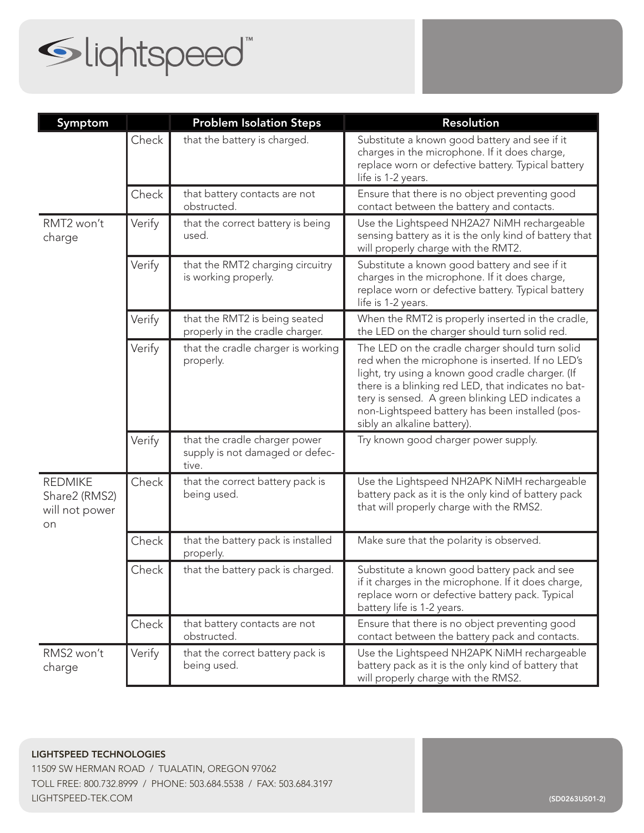

| Symptom                                                 |        | <b>Problem Isolation Steps</b>                                            | Resolution                                                                                                                                                                                                                                                                                                                                            |
|---------------------------------------------------------|--------|---------------------------------------------------------------------------|-------------------------------------------------------------------------------------------------------------------------------------------------------------------------------------------------------------------------------------------------------------------------------------------------------------------------------------------------------|
|                                                         | Check  | that the battery is charged.                                              | Substitute a known good battery and see if it<br>charges in the microphone. If it does charge,<br>replace worn or defective battery. Typical battery<br>life is 1-2 years.                                                                                                                                                                            |
|                                                         | Check  | that battery contacts are not<br>obstructed.                              | Ensure that there is no object preventing good<br>contact between the battery and contacts.                                                                                                                                                                                                                                                           |
| RMT2 won't<br>charge                                    | Verify | that the correct battery is being<br>used.                                | Use the Lightspeed NH2A27 NiMH rechargeable<br>sensing battery as it is the only kind of battery that<br>will properly charge with the RMT2.                                                                                                                                                                                                          |
|                                                         | Verify | that the RMT2 charging circuitry<br>is working properly.                  | Substitute a known good battery and see if it<br>charges in the microphone. If it does charge,<br>replace worn or defective battery. Typical battery<br>life is 1-2 years.                                                                                                                                                                            |
|                                                         | Verify | that the RMT2 is being seated<br>properly in the cradle charger.          | When the RMT2 is properly inserted in the cradle,<br>the LED on the charger should turn solid red.                                                                                                                                                                                                                                                    |
|                                                         | Verify | that the cradle charger is working<br>properly.                           | The LED on the cradle charger should turn solid<br>red when the microphone is inserted. If no LED's<br>light, try using a known good cradle charger. (If<br>there is a blinking red LED, that indicates no bat-<br>tery is sensed. A green blinking LED indicates a<br>non-Lightspeed battery has been installed (pos-<br>sibly an alkaline battery). |
|                                                         | Verify | that the cradle charger power<br>supply is not damaged or defec-<br>tive. | Try known good charger power supply.                                                                                                                                                                                                                                                                                                                  |
| <b>REDMIKE</b><br>Share2 (RMS2)<br>will not power<br>on | Check  | that the correct battery pack is<br>being used.                           | Use the Lightspeed NH2APK NiMH rechargeable<br>battery pack as it is the only kind of battery pack<br>that will properly charge with the RMS2.                                                                                                                                                                                                        |
|                                                         | Check  | that the battery pack is installed<br>properly.                           | Make sure that the polarity is observed.                                                                                                                                                                                                                                                                                                              |
|                                                         | Check  | that the battery pack is charged.                                         | Substitute a known good battery pack and see<br>if it charges in the microphone. If it does charge,<br>replace worn or defective battery pack. Typical<br>battery life is 1-2 years.                                                                                                                                                                  |
|                                                         | Check  | that battery contacts are not<br>obstructed.                              | Ensure that there is no object preventing good<br>contact between the battery pack and contacts.                                                                                                                                                                                                                                                      |
| RMS2 won't<br>charge                                    | Verify | that the correct battery pack is<br>being used.                           | Use the Lightspeed NH2APK NiMH rechargeable<br>battery pack as it is the only kind of battery that<br>will properly charge with the RMS2.                                                                                                                                                                                                             |

LIGHTSPEED TECHNOLOGIES 11509 SW HERMAN ROAD / TUALATIN, OREGON 97062 TOLL FREE: 800.732.8999 / PHONE: 503.684.5538 / FAX: 503.684.3197 LIGHTSPEED-TEK.COM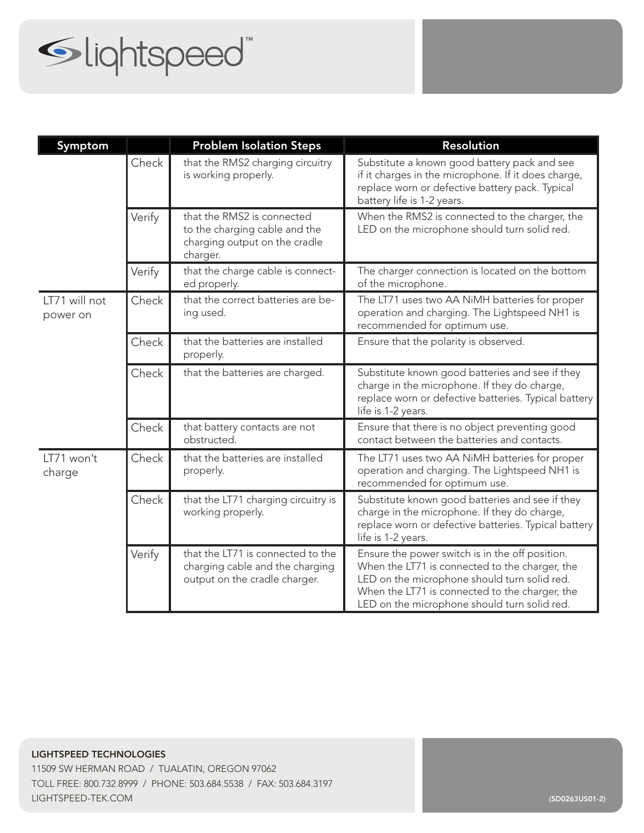## Slightspeed"

| Symptom                   |        | <b>Problem Isolation Steps</b>                                                                           | <b>Resolution</b>                                                                                                                                                                                                                                   |
|---------------------------|--------|----------------------------------------------------------------------------------------------------------|-----------------------------------------------------------------------------------------------------------------------------------------------------------------------------------------------------------------------------------------------------|
|                           | Check  | that the RMS2 charging circuitry<br>is working properly.                                                 | Substitute a known good battery pack and see<br>if it charges in the microphone. If it does charge,<br>replace worn or defective battery pack. Typical<br>battery life is 1-2 years.                                                                |
|                           | Verify | that the RMS2 is connected<br>to the charging cable and the<br>charging output on the cradle<br>charger. | When the RMS2 is connected to the charger, the<br>LED on the microphone should turn solid red.                                                                                                                                                      |
|                           | Verify | that the charge cable is connect-<br>ed properly.                                                        | The charger connection is located on the bottom<br>of the microphone.                                                                                                                                                                               |
| LT71 will not<br>power on | Check  | that the correct batteries are be-<br>ing used.                                                          | The LT71 uses two AA NiMH batteries for proper<br>operation and charging. The Lightspeed NH1 is<br>recommended for optimum use.                                                                                                                     |
|                           | Check  | that the batteries are installed<br>properly.                                                            | Ensure that the polarity is observed.                                                                                                                                                                                                               |
|                           | Check  | that the batteries are charged.                                                                          | Substitute known good batteries and see if they<br>charge in the microphone. If they do charge,<br>replace worn or defective batteries. Typical battery<br>life is 1-2 years.                                                                       |
|                           | Check  | that battery contacts are not<br>obstructed.                                                             | Ensure that there is no object preventing good<br>contact between the batteries and contacts.                                                                                                                                                       |
| LT71 won't<br>charge      | Check  | that the batteries are installed<br>properly.                                                            | The LT71 uses two AA NiMH batteries for proper<br>operation and charging. The Lightspeed NH1 is<br>recommended for optimum use.                                                                                                                     |
|                           | Check  | that the LT71 charging circuitry is<br>working properly.                                                 | Substitute known good batteries and see if they<br>charge in the microphone. If they do charge,<br>replace worn or defective batteries. Typical battery<br>life is 1-2 years.                                                                       |
|                           | Verify | that the LT71 is connected to the<br>charging cable and the charging<br>output on the cradle charger.    | Ensure the power switch is in the off position.<br>When the LT71 is connected to the charger, the<br>LED on the microphone should turn solid red.<br>When the LT71 is connected to the charger, the<br>LED on the microphone should turn solid red. |